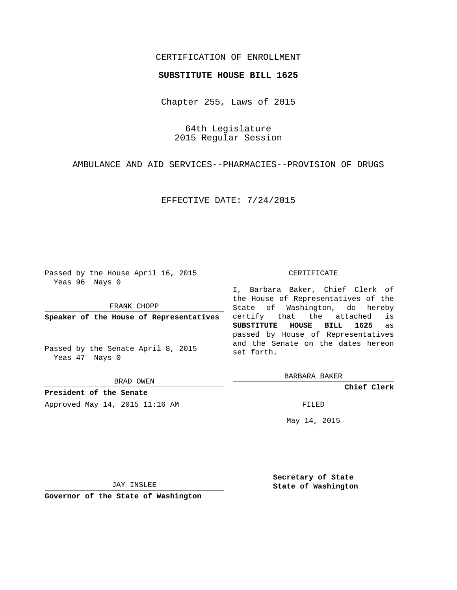## CERTIFICATION OF ENROLLMENT

### **SUBSTITUTE HOUSE BILL 1625**

Chapter 255, Laws of 2015

64th Legislature 2015 Regular Session

AMBULANCE AND AID SERVICES--PHARMACIES--PROVISION OF DRUGS

EFFECTIVE DATE: 7/24/2015

Passed by the House April 16, 2015 Yeas 96 Nays 0

FRANK CHOPP

**Speaker of the House of Representatives**

Passed by the Senate April 8, 2015 Yeas 47 Nays 0

BRAD OWEN

**President of the Senate** Approved May 14, 2015 11:16 AM FILED

#### CERTIFICATE

I, Barbara Baker, Chief Clerk of the House of Representatives of the State of Washington, do hereby certify that the attached is **SUBSTITUTE HOUSE BILL 1625** as passed by House of Representatives and the Senate on the dates hereon set forth.

BARBARA BAKER

**Chief Clerk**

May 14, 2015

JAY INSLEE

**Governor of the State of Washington**

**Secretary of State State of Washington**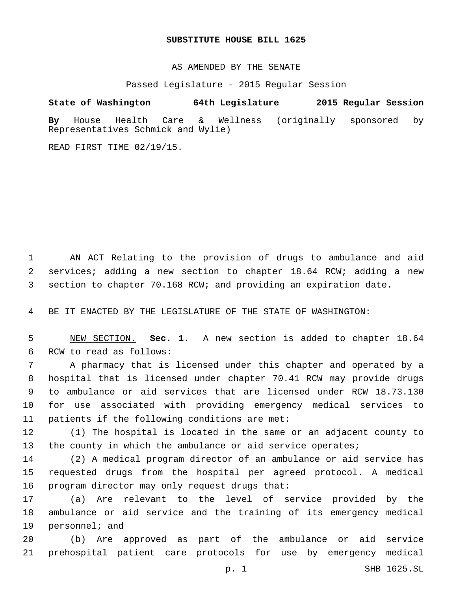## **SUBSTITUTE HOUSE BILL 1625**

AS AMENDED BY THE SENATE

Passed Legislature - 2015 Regular Session

# **State of Washington 64th Legislature 2015 Regular Session**

**By** House Health Care & Wellness (originally sponsored by Representatives Schmick and Wylie)

READ FIRST TIME 02/19/15.

1 AN ACT Relating to the provision of drugs to ambulance and aid 2 services; adding a new section to chapter 18.64 RCW; adding a new 3 section to chapter 70.168 RCW; and providing an expiration date.

4 BE IT ENACTED BY THE LEGISLATURE OF THE STATE OF WASHINGTON:

5 NEW SECTION. **Sec. 1.** A new section is added to chapter 18.64 6 RCW to read as follows:

 A pharmacy that is licensed under this chapter and operated by a hospital that is licensed under chapter 70.41 RCW may provide drugs to ambulance or aid services that are licensed under RCW 18.73.130 for use associated with providing emergency medical services to 11 patients if the following conditions are met:

12 (1) The hospital is located in the same or an adjacent county to 13 the county in which the ambulance or aid service operates;

14 (2) A medical program director of an ambulance or aid service has 15 requested drugs from the hospital per agreed protocol. A medical 16 program director may only request drugs that:

17 (a) Are relevant to the level of service provided by the 18 ambulance or aid service and the training of its emergency medical 19 personnel; and

20 (b) Are approved as part of the ambulance or aid service 21 prehospital patient care protocols for use by emergency medical

p. 1 SHB 1625.SL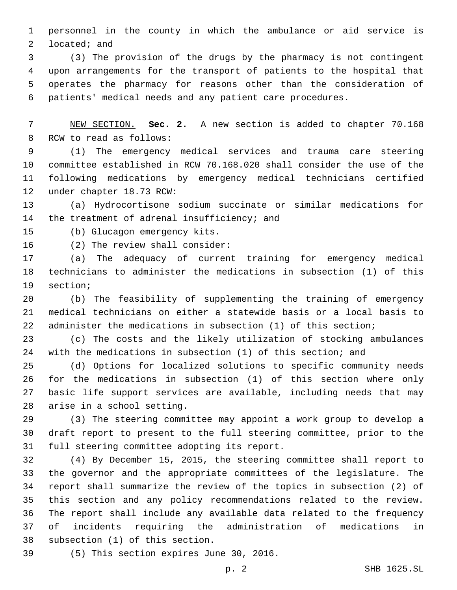personnel in the county in which the ambulance or aid service is 2 located; and

 (3) The provision of the drugs by the pharmacy is not contingent upon arrangements for the transport of patients to the hospital that operates the pharmacy for reasons other than the consideration of patients' medical needs and any patient care procedures.

 NEW SECTION. **Sec. 2.** A new section is added to chapter 70.168 8 RCW to read as follows:

 (1) The emergency medical services and trauma care steering committee established in RCW 70.168.020 shall consider the use of the following medications by emergency medical technicians certified 12 under chapter 18.73 RCW:

 (a) Hydrocortisone sodium succinate or similar medications for 14 the treatment of adrenal insufficiency; and

15 (b) Glucagon emergency kits.

16 (2) The review shall consider:

 (a) The adequacy of current training for emergency medical technicians to administer the medications in subsection (1) of this 19 section;

 (b) The feasibility of supplementing the training of emergency medical technicians on either a statewide basis or a local basis to administer the medications in subsection (1) of this section;

 (c) The costs and the likely utilization of stocking ambulances with the medications in subsection (1) of this section; and

 (d) Options for localized solutions to specific community needs for the medications in subsection (1) of this section where only basic life support services are available, including needs that may 28 arise in a school setting.

 (3) The steering committee may appoint a work group to develop a draft report to present to the full steering committee, prior to the 31 full steering committee adopting its report.

 (4) By December 15, 2015, the steering committee shall report to the governor and the appropriate committees of the legislature. The report shall summarize the review of the topics in subsection (2) of this section and any policy recommendations related to the review. The report shall include any available data related to the frequency of incidents requiring the administration of medications in 38 subsection (1) of this section.

39 (5) This section expires June 30, 2016.